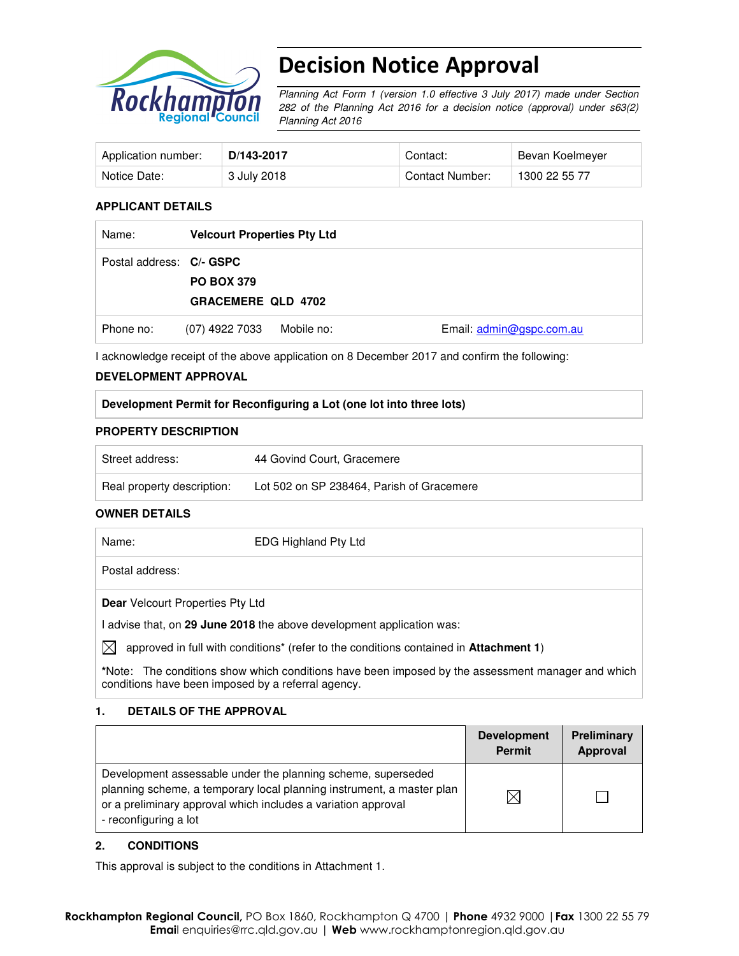

# Decision Notice Approval

Planning Act Form 1 (version 1.0 effective 3 July 2017) made under Section 282 of the Planning Act 2016 for a decision notice (approval) under s63(2) Planning Act 2016

| Application number: | D/143-2017  | Contact:        | Bevan Koelmeyer |
|---------------------|-------------|-----------------|-----------------|
| Notice Date:        | 3 July 2018 | Contact Number: | 1300 22 55 77   |

#### **APPLICANT DETAILS**

| Name:                    | <b>Velcourt Properties Pty Ltd</b>             |            |                          |
|--------------------------|------------------------------------------------|------------|--------------------------|
| Postal address: C/- GSPC | <b>PO BOX 379</b><br><b>GRACEMERE QLD 4702</b> |            |                          |
| Phone no:                | (07) 4922 7033                                 | Mobile no: | Email: admin@gspc.com.au |

I acknowledge receipt of the above application on 8 December 2017 and confirm the following:

#### **DEVELOPMENT APPROVAL**

#### **Development Permit for Reconfiguring a Lot (one lot into three lots)**

#### **PROPERTY DESCRIPTION**

| Street address:            | 44 Govind Court, Gracemere                |
|----------------------------|-------------------------------------------|
| Real property description: | Lot 502 on SP 238464, Parish of Gracemere |

#### **OWNER DETAILS**

|    | Name:                                   | <b>EDG Highland Pty Ltd</b>                                                                               |
|----|-----------------------------------------|-----------------------------------------------------------------------------------------------------------|
|    | Postal address:                         |                                                                                                           |
|    | <b>Dear</b> Velcourt Properties Pty Ltd |                                                                                                           |
|    |                                         | advise that, on 29 June 2018 the above development application was:                                       |
| IX |                                         | approved in full with conditions <sup>*</sup> (refer to the conditions contained in <b>Attachment 1</b> ) |

**\***Note:The conditions show which conditions have been imposed by the assessment manager and which conditions have been imposed by a referral agency.

#### **1. DETAILS OF THE APPROVAL**

|                                                                                                                                                                                                                                 | <b>Development</b><br><b>Permit</b> | <b>Preliminary</b><br>Approval |
|---------------------------------------------------------------------------------------------------------------------------------------------------------------------------------------------------------------------------------|-------------------------------------|--------------------------------|
| Development assessable under the planning scheme, superseded<br>planning scheme, a temporary local planning instrument, a master plan<br>or a preliminary approval which includes a variation approval<br>- reconfiguring a lot |                                     |                                |

#### **2. CONDITIONS**

This approval is subject to the conditions in Attachment 1.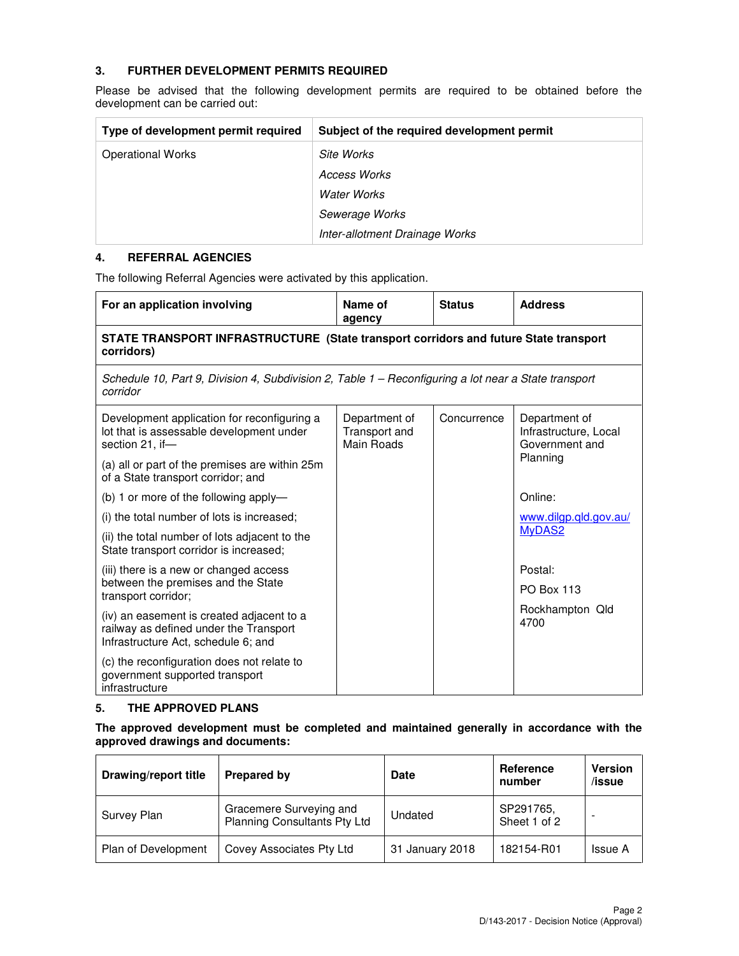#### **3. FURTHER DEVELOPMENT PERMITS REQUIRED**

Please be advised that the following development permits are required to be obtained before the development can be carried out:

| Type of development permit required | Subject of the required development permit |
|-------------------------------------|--------------------------------------------|
| <b>Operational Works</b>            | Site Works                                 |
|                                     | <b>Access Works</b>                        |
|                                     | <b>Water Works</b>                         |
|                                     | Sewerage Works                             |
|                                     | Inter-allotment Drainage Works             |

#### **4. REFERRAL AGENCIES**

The following Referral Agencies were activated by this application.

| For an application involving                                                                                               | Name of<br>agency                            | <b>Status</b> | <b>Address</b>                                           |  |  |  |
|----------------------------------------------------------------------------------------------------------------------------|----------------------------------------------|---------------|----------------------------------------------------------|--|--|--|
| STATE TRANSPORT INFRASTRUCTURE (State transport corridors and future State transport<br>corridors)                         |                                              |               |                                                          |  |  |  |
| Schedule 10, Part 9, Division 4, Subdivision 2, Table 1 - Reconfiguring a lot near a State transport<br>corridor           |                                              |               |                                                          |  |  |  |
| Development application for reconfiguring a<br>lot that is assessable development under<br>section 21, if-                 | Department of<br>Transport and<br>Main Roads | Concurrence   | Department of<br>Infrastructure, Local<br>Government and |  |  |  |
| (a) all or part of the premises are within 25m<br>of a State transport corridor; and                                       |                                              |               | Planning                                                 |  |  |  |
| (b) 1 or more of the following apply-                                                                                      |                                              |               | Online:                                                  |  |  |  |
| (i) the total number of lots is increased;                                                                                 |                                              |               | www.dilgp.qld.gov.au/                                    |  |  |  |
| (ii) the total number of lots adjacent to the<br>State transport corridor is increased;                                    |                                              |               | MyDAS <sub>2</sub>                                       |  |  |  |
| (iii) there is a new or changed access                                                                                     |                                              |               | Postal:                                                  |  |  |  |
| between the premises and the State<br>transport corridor;                                                                  |                                              |               | <b>PO Box 113</b>                                        |  |  |  |
| (iv) an easement is created adjacent to a<br>railway as defined under the Transport<br>Infrastructure Act, schedule 6; and |                                              |               | Rockhampton Qld<br>4700                                  |  |  |  |
| (c) the reconfiguration does not relate to<br>government supported transport<br>infrastructure                             |                                              |               |                                                          |  |  |  |

#### **5. THE APPROVED PLANS**

#### **The approved development must be completed and maintained generally in accordance with the approved drawings and documents:**

| Drawing/report title | Prepared by                                             | <b>Date</b>     | Reference<br>number       | <b>Version</b><br>/issue |
|----------------------|---------------------------------------------------------|-----------------|---------------------------|--------------------------|
| Survey Plan          | Gracemere Surveying and<br>Planning Consultants Pty Ltd | Undated         | SP291765,<br>Sheet 1 of 2 |                          |
| Plan of Development  | Covey Associates Pty Ltd                                | 31 January 2018 | 182154-R01                | <b>Issue A</b>           |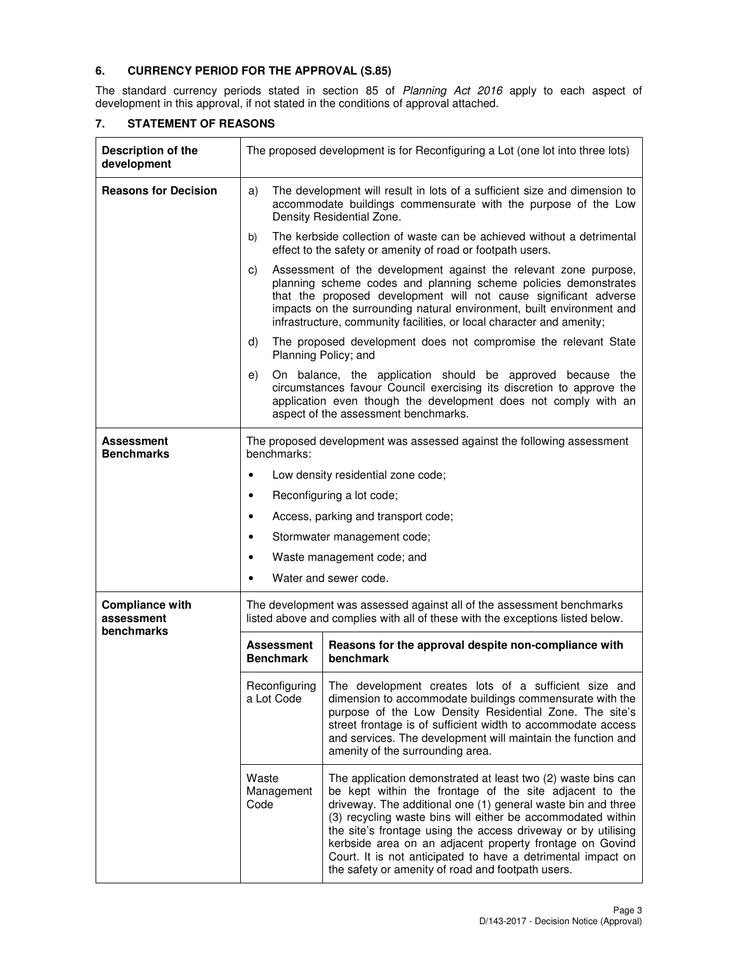#### **6. CURRENCY PERIOD FOR THE APPROVAL (S.85)**

The standard currency periods stated in section 85 of Planning Act 2016 apply to each aspect of development in this approval, if not stated in the conditions of approval attached.

| Description of the<br>development                  |                                                                                                                                                                                                                                                                                                                                                                                                                                                                                    | The proposed development is for Reconfiguring a Lot (one lot into three lots)                                                                                                                                                                                                                                                                             |  |  |
|----------------------------------------------------|------------------------------------------------------------------------------------------------------------------------------------------------------------------------------------------------------------------------------------------------------------------------------------------------------------------------------------------------------------------------------------------------------------------------------------------------------------------------------------|-----------------------------------------------------------------------------------------------------------------------------------------------------------------------------------------------------------------------------------------------------------------------------------------------------------------------------------------------------------|--|--|
| <b>Reasons for Decision</b>                        | a)                                                                                                                                                                                                                                                                                                                                                                                                                                                                                 | The development will result in lots of a sufficient size and dimension to<br>accommodate buildings commensurate with the purpose of the Low<br>Density Residential Zone.                                                                                                                                                                                  |  |  |
|                                                    | b)                                                                                                                                                                                                                                                                                                                                                                                                                                                                                 | The kerbside collection of waste can be achieved without a detrimental<br>effect to the safety or amenity of road or footpath users.                                                                                                                                                                                                                      |  |  |
|                                                    | C)                                                                                                                                                                                                                                                                                                                                                                                                                                                                                 | Assessment of the development against the relevant zone purpose,<br>planning scheme codes and planning scheme policies demonstrates<br>that the proposed development will not cause significant adverse<br>impacts on the surrounding natural environment, built environment and<br>infrastructure, community facilities, or local character and amenity; |  |  |
|                                                    | d)                                                                                                                                                                                                                                                                                                                                                                                                                                                                                 | The proposed development does not compromise the relevant State<br>Planning Policy; and                                                                                                                                                                                                                                                                   |  |  |
|                                                    | e)                                                                                                                                                                                                                                                                                                                                                                                                                                                                                 | On balance, the application should be approved because the<br>circumstances favour Council exercising its discretion to approve the<br>application even though the development does not comply with an<br>aspect of the assessment benchmarks.                                                                                                            |  |  |
| Assessment<br><b>Benchmarks</b>                    | The proposed development was assessed against the following assessment<br>benchmarks:                                                                                                                                                                                                                                                                                                                                                                                              |                                                                                                                                                                                                                                                                                                                                                           |  |  |
|                                                    | $\bullet$                                                                                                                                                                                                                                                                                                                                                                                                                                                                          | Low density residential zone code;                                                                                                                                                                                                                                                                                                                        |  |  |
|                                                    | ٠                                                                                                                                                                                                                                                                                                                                                                                                                                                                                  | Reconfiguring a lot code;                                                                                                                                                                                                                                                                                                                                 |  |  |
|                                                    | ٠                                                                                                                                                                                                                                                                                                                                                                                                                                                                                  | Access, parking and transport code;                                                                                                                                                                                                                                                                                                                       |  |  |
|                                                    | Stormwater management code;<br>٠                                                                                                                                                                                                                                                                                                                                                                                                                                                   |                                                                                                                                                                                                                                                                                                                                                           |  |  |
|                                                    |                                                                                                                                                                                                                                                                                                                                                                                                                                                                                    | Waste management code; and                                                                                                                                                                                                                                                                                                                                |  |  |
|                                                    |                                                                                                                                                                                                                                                                                                                                                                                                                                                                                    | Water and sewer code.                                                                                                                                                                                                                                                                                                                                     |  |  |
| <b>Compliance with</b><br>assessment<br>benchmarks |                                                                                                                                                                                                                                                                                                                                                                                                                                                                                    | The development was assessed against all of the assessment benchmarks<br>listed above and complies with all of these with the exceptions listed below.                                                                                                                                                                                                    |  |  |
|                                                    | <b>Assessment</b><br><b>Benchmark</b>                                                                                                                                                                                                                                                                                                                                                                                                                                              | Reasons for the approval despite non-compliance with<br>benchmark                                                                                                                                                                                                                                                                                         |  |  |
|                                                    | Reconfiguring<br>The development creates lots of a sufficient size and<br>a Lot Code<br>dimension to accommodate buildings commensurate with the<br>purpose of the Low Density Residential Zone. The site's<br>street frontage is of sufficient width to accommodate access<br>and services. The development will maintain the function and<br>amenity of the surrounding area.                                                                                                    |                                                                                                                                                                                                                                                                                                                                                           |  |  |
|                                                    | Waste<br>The application demonstrated at least two (2) waste bins can<br>be kept within the frontage of the site adjacent to the<br>Management<br>driveway. The additional one (1) general waste bin and three<br>Code<br>(3) recycling waste bins will either be accommodated within<br>the site's frontage using the access driveway or by utilising<br>kerbside area on an adjacent property frontage on Govind<br>Court. It is not anticipated to have a detrimental impact on |                                                                                                                                                                                                                                                                                                                                                           |  |  |

#### **7. STATEMENT OF REASONS**

the safety or amenity of road and footpath users.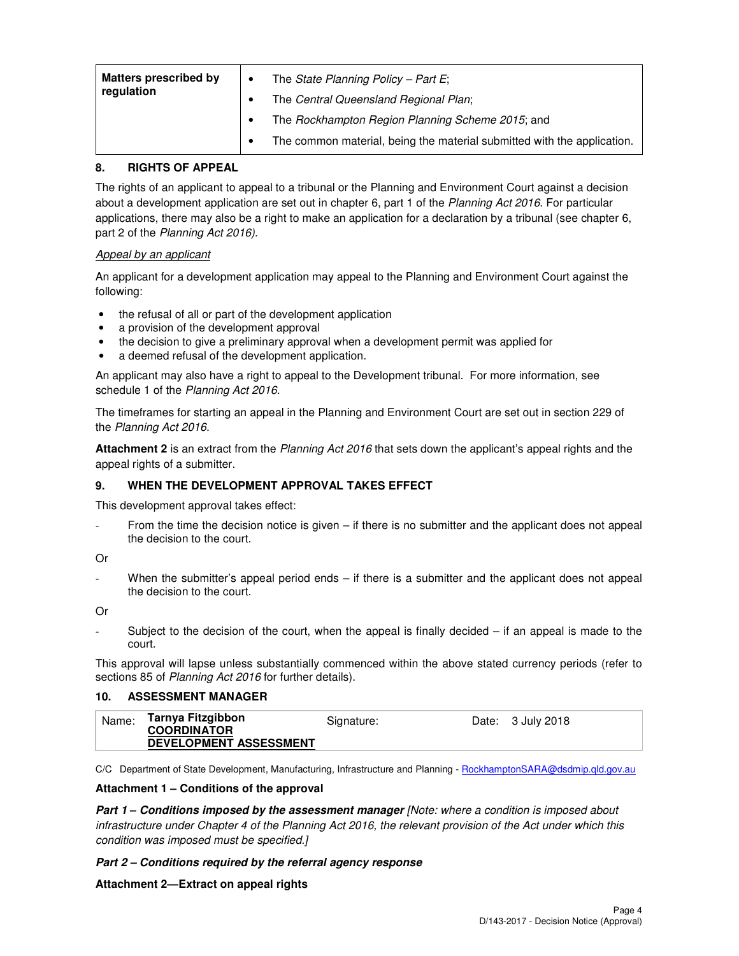| <b>Matters prescribed by</b><br>regulation | The State Planning Policy - Part E;<br>The Central Queensland Regional Plan; |
|--------------------------------------------|------------------------------------------------------------------------------|
|                                            | The Rockhampton Region Planning Scheme 2015; and                             |
|                                            | The common material, being the material submitted with the application.      |

#### **8. RIGHTS OF APPEAL**

The rights of an applicant to appeal to a tribunal or the Planning and Environment Court against a decision about a development application are set out in chapter 6, part 1 of the Planning Act 2016. For particular applications, there may also be a right to make an application for a declaration by a tribunal (see chapter 6, part 2 of the Planning Act 2016).

## Appeal by an applicant

An applicant for a development application may appeal to the Planning and Environment Court against the following:

- the refusal of all or part of the development application
- a provision of the development approval
- the decision to give a preliminary approval when a development permit was applied for
- a deemed refusal of the development application.

An applicant may also have a right to appeal to the Development tribunal. For more information, see schedule 1 of the Planning Act 2016.

The timeframes for starting an appeal in the Planning and Environment Court are set out in section 229 of the Planning Act 2016.

**Attachment 2** is an extract from the Planning Act 2016 that sets down the applicant's appeal rights and the appeal rights of a submitter.

#### **9. WHEN THE DEVELOPMENT APPROVAL TAKES EFFECT**

This development approval takes effect:

From the time the decision notice is given – if there is no submitter and the applicant does not appeal the decision to the court.

Or

When the submitter's appeal period ends  $-$  if there is a submitter and the applicant does not appeal the decision to the court.

Or

Subject to the decision of the court, when the appeal is finally decided  $-$  if an appeal is made to the court.

This approval will lapse unless substantially commenced within the above stated currency periods (refer to sections 85 of Planning Act 2016 for further details).

#### **10. ASSESSMENT MANAGER**

| Tarnya Fitzgibbon<br>Name:<br>Date: 3 July 2018<br>Signature:<br><b>COORDINATOR</b><br><b>DEVELOPMENT ASSESSMENT</b> |  |
|----------------------------------------------------------------------------------------------------------------------|--|
|----------------------------------------------------------------------------------------------------------------------|--|

C/C Department of State Development, Manufacturing, Infrastructure and Planning - RockhamptonSARA@dsdmip.qld.gov.au

#### **Attachment 1 – Conditions of the approval**

**Part 1 – Conditions imposed by the assessment manager** [Note: where a condition is imposed about infrastructure under Chapter 4 of the Planning Act 2016, the relevant provision of the Act under which this condition was imposed must be specified.]

#### **Part 2 – Conditions required by the referral agency response**

#### **Attachment 2—Extract on appeal rights**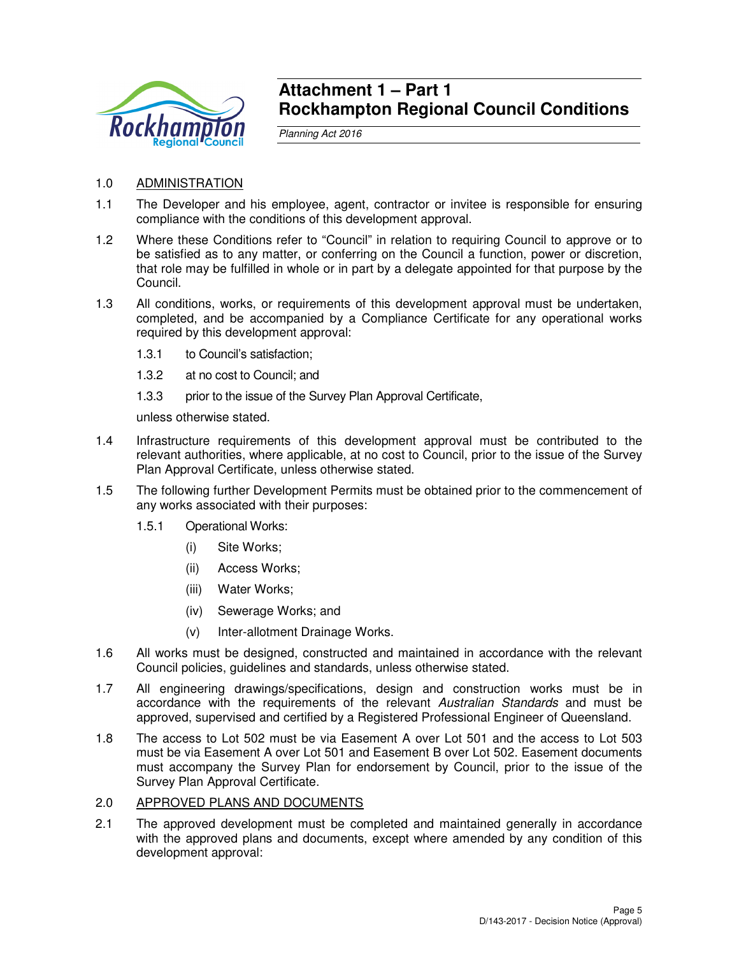

## **Attachment 1 – Part 1 Rockhampton Regional Council Conditions**

Planning Act 2016

- 1.0 ADMINISTRATION
- 1.1 The Developer and his employee, agent, contractor or invitee is responsible for ensuring compliance with the conditions of this development approval.
- 1.2 Where these Conditions refer to "Council" in relation to requiring Council to approve or to be satisfied as to any matter, or conferring on the Council a function, power or discretion, that role may be fulfilled in whole or in part by a delegate appointed for that purpose by the Council.
- 1.3 All conditions, works, or requirements of this development approval must be undertaken, completed, and be accompanied by a Compliance Certificate for any operational works required by this development approval:
	- 1.3.1 to Council's satisfaction;
	- 1.3.2 at no cost to Council; and
	- 1.3.3 prior to the issue of the Survey Plan Approval Certificate,

unless otherwise stated.

- 1.4 Infrastructure requirements of this development approval must be contributed to the relevant authorities, where applicable, at no cost to Council, prior to the issue of the Survey Plan Approval Certificate, unless otherwise stated.
- 1.5 The following further Development Permits must be obtained prior to the commencement of any works associated with their purposes:
	- 1.5.1 Operational Works:
		- (i) Site Works;
		- (ii) Access Works;
		- (iii) Water Works;
		- (iv) Sewerage Works; and
		- (v) Inter-allotment Drainage Works.
- 1.6 All works must be designed, constructed and maintained in accordance with the relevant Council policies, guidelines and standards, unless otherwise stated.
- 1.7 All engineering drawings/specifications, design and construction works must be in accordance with the requirements of the relevant Australian Standards and must be approved, supervised and certified by a Registered Professional Engineer of Queensland.
- 1.8 The access to Lot 502 must be via Easement A over Lot 501 and the access to Lot 503 must be via Easement A over Lot 501 and Easement B over Lot 502. Easement documents must accompany the Survey Plan for endorsement by Council, prior to the issue of the Survey Plan Approval Certificate.
- 2.0 APPROVED PLANS AND DOCUMENTS
- 2.1 The approved development must be completed and maintained generally in accordance with the approved plans and documents, except where amended by any condition of this development approval: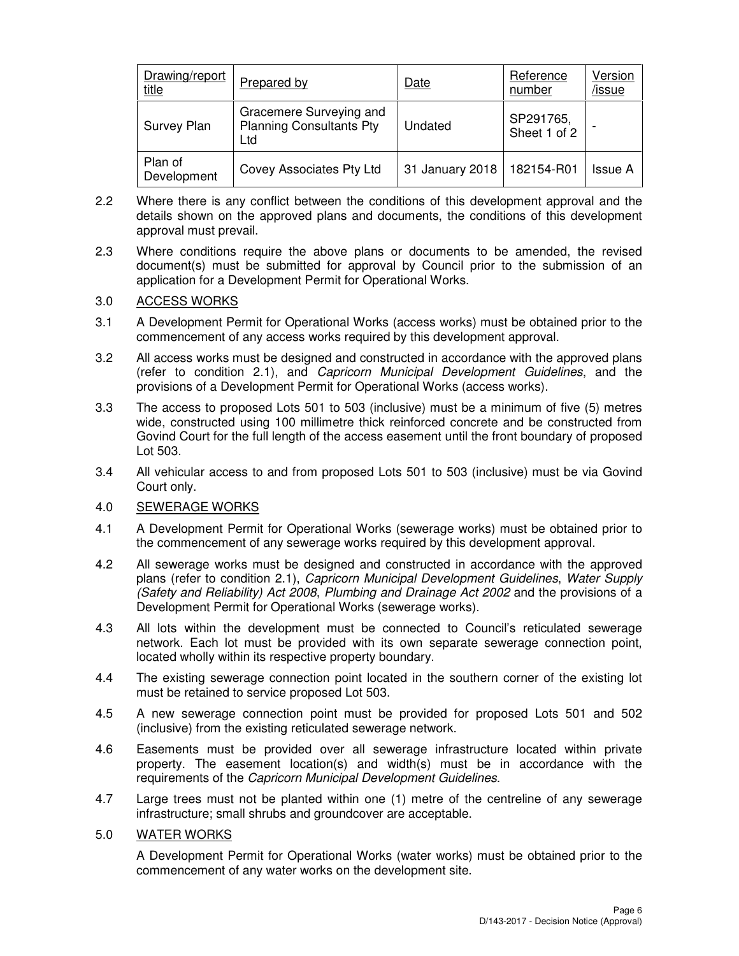| Drawing/report<br><u>title</u> | <b>Prepared by</b>                                                | Date            | Reference<br>number       | Version<br>/issue |
|--------------------------------|-------------------------------------------------------------------|-----------------|---------------------------|-------------------|
| Survey Plan                    | Gracemere Surveying and<br><b>Planning Consultants Pty</b><br>Ltd | Undated         | SP291765,<br>Sheet 1 of 2 |                   |
| Plan of<br>Development         | Covey Associates Pty Ltd                                          | 31 January 2018 | 182154-R01                | Issue A           |

- 2.2 Where there is any conflict between the conditions of this development approval and the details shown on the approved plans and documents, the conditions of this development approval must prevail.
- 2.3 Where conditions require the above plans or documents to be amended, the revised document(s) must be submitted for approval by Council prior to the submission of an application for a Development Permit for Operational Works.

## 3.0 ACCESS WORKS

- 3.1 A Development Permit for Operational Works (access works) must be obtained prior to the commencement of any access works required by this development approval.
- 3.2 All access works must be designed and constructed in accordance with the approved plans (refer to condition 2.1), and Capricorn Municipal Development Guidelines, and the provisions of a Development Permit for Operational Works (access works).
- 3.3 The access to proposed Lots 501 to 503 (inclusive) must be a minimum of five (5) metres wide, constructed using 100 millimetre thick reinforced concrete and be constructed from Govind Court for the full length of the access easement until the front boundary of proposed Lot 503.
- 3.4 All vehicular access to and from proposed Lots 501 to 503 (inclusive) must be via Govind Court only.

## 4.0 SEWERAGE WORKS

- 4.1 A Development Permit for Operational Works (sewerage works) must be obtained prior to the commencement of any sewerage works required by this development approval.
- 4.2 All sewerage works must be designed and constructed in accordance with the approved plans (refer to condition 2.1), Capricorn Municipal Development Guidelines, Water Supply (Safety and Reliability) Act 2008, Plumbing and Drainage Act 2002 and the provisions of a Development Permit for Operational Works (sewerage works).
- 4.3 All lots within the development must be connected to Council's reticulated sewerage network. Each lot must be provided with its own separate sewerage connection point, located wholly within its respective property boundary.
- 4.4 The existing sewerage connection point located in the southern corner of the existing lot must be retained to service proposed Lot 503.
- 4.5 A new sewerage connection point must be provided for proposed Lots 501 and 502 (inclusive) from the existing reticulated sewerage network.
- 4.6 Easements must be provided over all sewerage infrastructure located within private property. The easement location(s) and width(s) must be in accordance with the requirements of the Capricorn Municipal Development Guidelines.
- 4.7 Large trees must not be planted within one (1) metre of the centreline of any sewerage infrastructure; small shrubs and groundcover are acceptable.

#### 5.0 WATER WORKS

A Development Permit for Operational Works (water works) must be obtained prior to the commencement of any water works on the development site.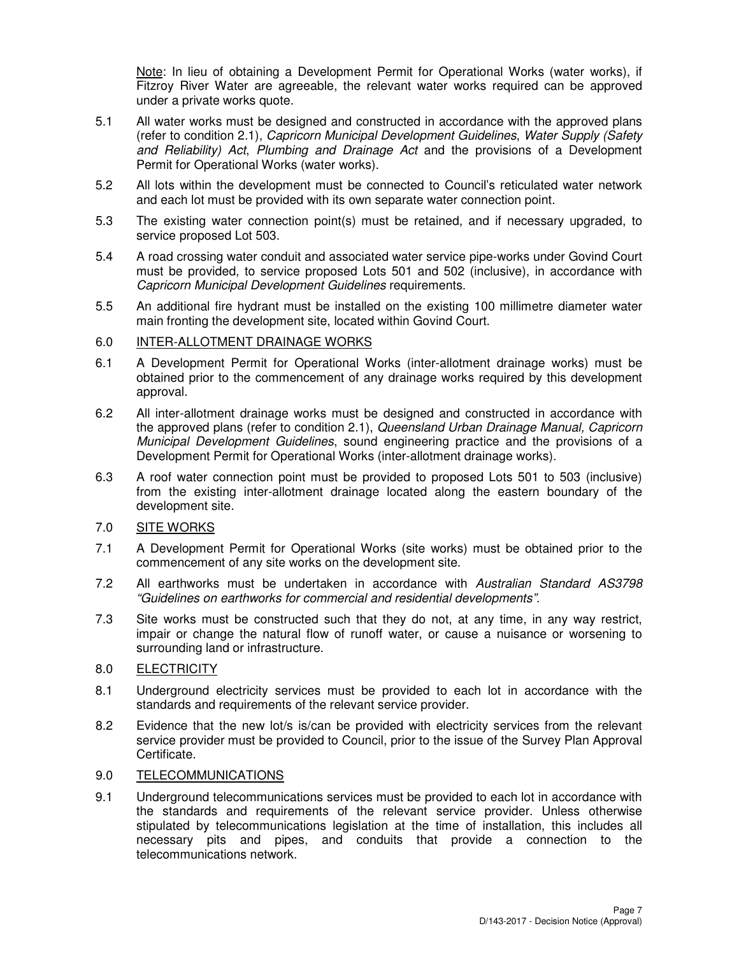Note: In lieu of obtaining a Development Permit for Operational Works (water works), if Fitzroy River Water are agreeable, the relevant water works required can be approved under a private works quote.

- 5.1 All water works must be designed and constructed in accordance with the approved plans (refer to condition 2.1), Capricorn Municipal Development Guidelines, Water Supply (Safety and Reliability) Act, Plumbing and Drainage Act and the provisions of a Development Permit for Operational Works (water works).
- 5.2 All lots within the development must be connected to Council's reticulated water network and each lot must be provided with its own separate water connection point.
- 5.3 The existing water connection point(s) must be retained, and if necessary upgraded, to service proposed Lot 503.
- 5.4 A road crossing water conduit and associated water service pipe-works under Govind Court must be provided, to service proposed Lots 501 and 502 (inclusive), in accordance with Capricorn Municipal Development Guidelines requirements.
- 5.5 An additional fire hydrant must be installed on the existing 100 millimetre diameter water main fronting the development site, located within Govind Court.

#### 6.0 INTER-ALLOTMENT DRAINAGE WORKS

- 6.1 A Development Permit for Operational Works (inter-allotment drainage works) must be obtained prior to the commencement of any drainage works required by this development approval.
- 6.2 All inter-allotment drainage works must be designed and constructed in accordance with the approved plans (refer to condition 2.1), Queensland Urban Drainage Manual, Capricorn Municipal Development Guidelines, sound engineering practice and the provisions of a Development Permit for Operational Works (inter-allotment drainage works).
- 6.3 A roof water connection point must be provided to proposed Lots 501 to 503 (inclusive) from the existing inter-allotment drainage located along the eastern boundary of the development site.

## 7.0 SITE WORKS

- 7.1 A Development Permit for Operational Works (site works) must be obtained prior to the commencement of any site works on the development site.
- 7.2 All earthworks must be undertaken in accordance with Australian Standard AS3798 "Guidelines on earthworks for commercial and residential developments".
- 7.3 Site works must be constructed such that they do not, at any time, in any way restrict, impair or change the natural flow of runoff water, or cause a nuisance or worsening to surrounding land or infrastructure.

## 8.0 ELECTRICITY

- 8.1 Underground electricity services must be provided to each lot in accordance with the standards and requirements of the relevant service provider.
- 8.2 Evidence that the new lot/s is/can be provided with electricity services from the relevant service provider must be provided to Council, prior to the issue of the Survey Plan Approval Certificate.

## 9.0 TELECOMMUNICATIONS

9.1 Underground telecommunications services must be provided to each lot in accordance with the standards and requirements of the relevant service provider. Unless otherwise stipulated by telecommunications legislation at the time of installation, this includes all necessary pits and pipes, and conduits that provide a connection to the telecommunications network.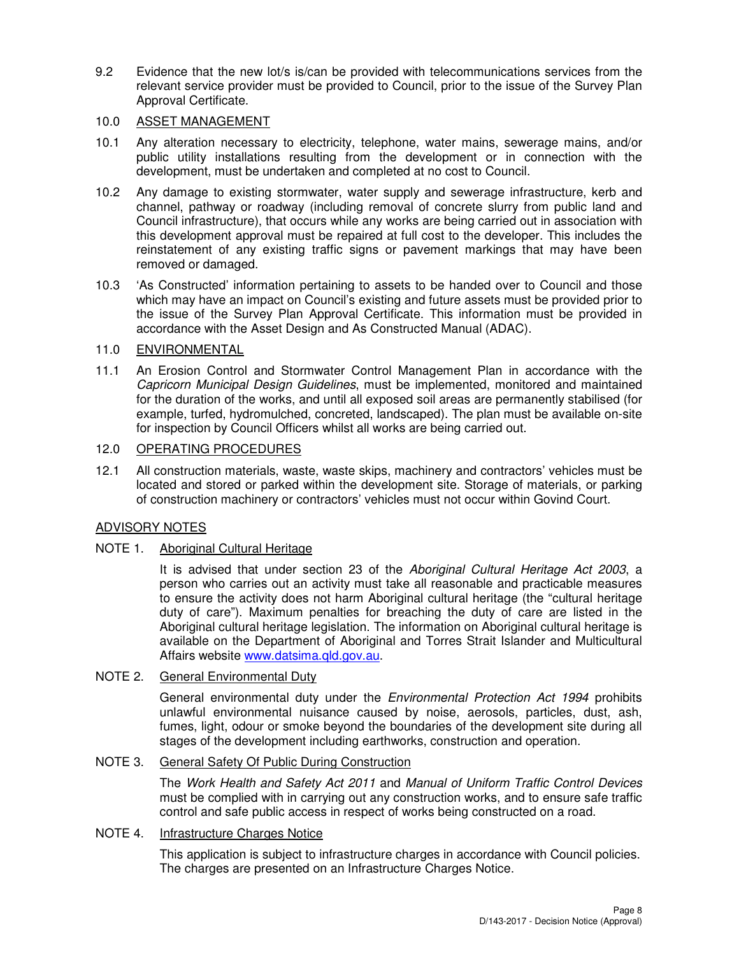9.2 Evidence that the new lot/s is/can be provided with telecommunications services from the relevant service provider must be provided to Council, prior to the issue of the Survey Plan Approval Certificate.

#### 10.0 ASSET MANAGEMENT

- 10.1 Any alteration necessary to electricity, telephone, water mains, sewerage mains, and/or public utility installations resulting from the development or in connection with the development, must be undertaken and completed at no cost to Council.
- 10.2 Any damage to existing stormwater, water supply and sewerage infrastructure, kerb and channel, pathway or roadway (including removal of concrete slurry from public land and Council infrastructure), that occurs while any works are being carried out in association with this development approval must be repaired at full cost to the developer. This includes the reinstatement of any existing traffic signs or pavement markings that may have been removed or damaged.
- 10.3 'As Constructed' information pertaining to assets to be handed over to Council and those which may have an impact on Council's existing and future assets must be provided prior to the issue of the Survey Plan Approval Certificate. This information must be provided in accordance with the Asset Design and As Constructed Manual (ADAC).

## 11.0 ENVIRONMENTAL

11.1 An Erosion Control and Stormwater Control Management Plan in accordance with the Capricorn Municipal Design Guidelines, must be implemented, monitored and maintained for the duration of the works, and until all exposed soil areas are permanently stabilised (for example, turfed, hydromulched, concreted, landscaped). The plan must be available on-site for inspection by Council Officers whilst all works are being carried out.

## 12.0 OPERATING PROCEDURES

12.1 All construction materials, waste, waste skips, machinery and contractors' vehicles must be located and stored or parked within the development site. Storage of materials, or parking of construction machinery or contractors' vehicles must not occur within Govind Court.

## ADVISORY NOTES

## NOTE 1. Aboriginal Cultural Heritage

It is advised that under section 23 of the Aboriginal Cultural Heritage Act 2003, a person who carries out an activity must take all reasonable and practicable measures to ensure the activity does not harm Aboriginal cultural heritage (the "cultural heritage duty of care"). Maximum penalties for breaching the duty of care are listed in the Aboriginal cultural heritage legislation. The information on Aboriginal cultural heritage is available on the Department of Aboriginal and Torres Strait Islander and Multicultural Affairs website www.datsima.qld.gov.au.

## NOTE 2. General Environmental Duty

General environmental duty under the *Environmental Protection Act 1994* prohibits unlawful environmental nuisance caused by noise, aerosols, particles, dust, ash, fumes, light, odour or smoke beyond the boundaries of the development site during all stages of the development including earthworks, construction and operation.

## NOTE 3. General Safety Of Public During Construction

The Work Health and Safety Act 2011 and Manual of Uniform Traffic Control Devices must be complied with in carrying out any construction works, and to ensure safe traffic control and safe public access in respect of works being constructed on a road.

## NOTE 4. Infrastructure Charges Notice

This application is subject to infrastructure charges in accordance with Council policies. The charges are presented on an Infrastructure Charges Notice.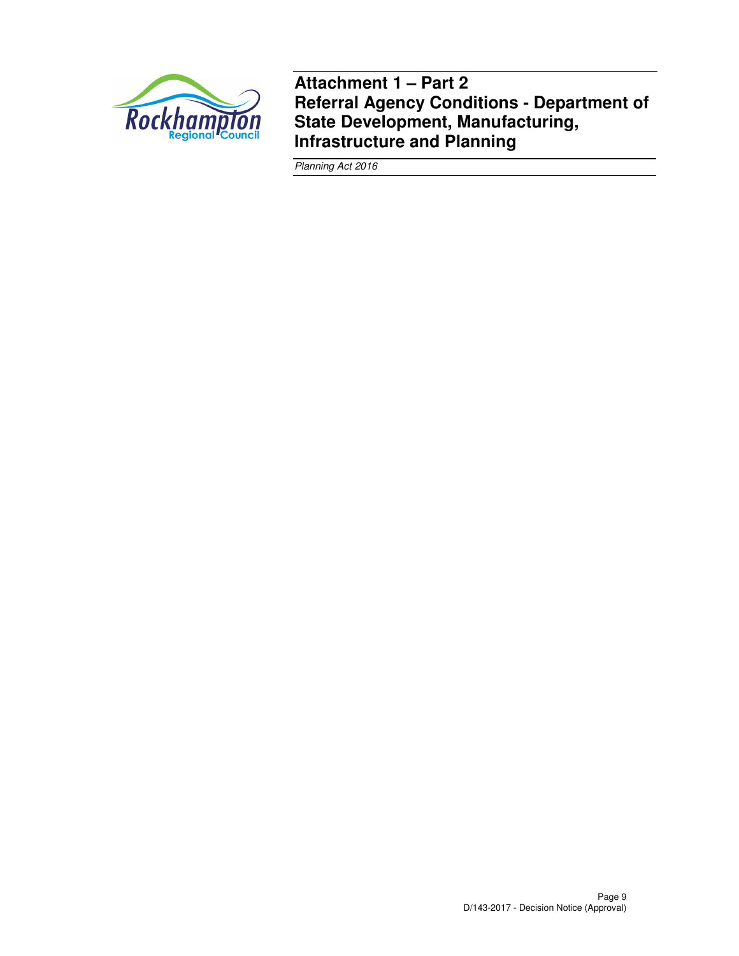

**Attachment 1 – Part 2 Referral Agency Conditions - Department of State Development, Manufacturing, Infrastructure and Planning** 

Planning Act 2016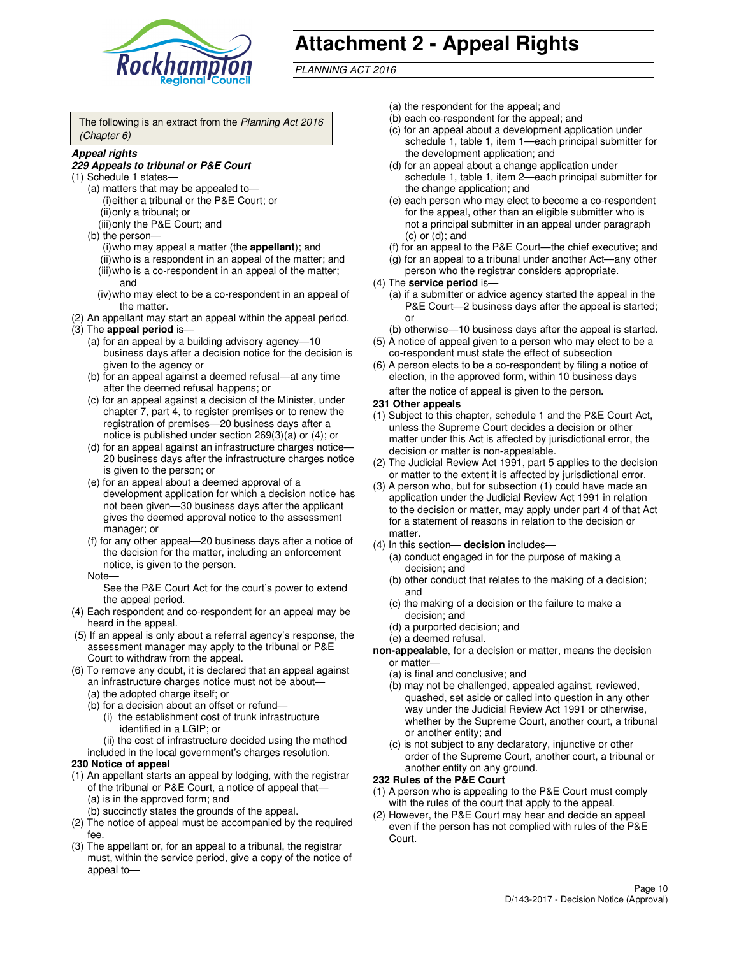

# **Attachment 2 - Appeal Rights**

PLANNING ACT 2016

The following is an extract from the Planning Act 2016 (Chapter 6)

#### **Appeal rights**

#### **229 Appeals to tribunal or P&E Court**

- (1) Schedule 1 states—
	- (a) matters that may be appealed to— (i) either a tribunal or the P&E Court; or (ii) only a tribunal; or (iii) only the P&E Court; and
	- (b) the person—
		- (i) who may appeal a matter (the **appellant**); and
		- (ii) who is a respondent in an appeal of the matter; and (iii) who is a co-respondent in an appeal of the matter; and
		- (iv) who may elect to be a co-respondent in an appeal of the matter.
- (2) An appellant may start an appeal within the appeal period.
- (3) The **appeal period** is—
	- (a) for an appeal by a building advisory agency—10 business days after a decision notice for the decision is given to the agency or
	- (b) for an appeal against a deemed refusal—at any time after the deemed refusal happens; or
	- (c) for an appeal against a decision of the Minister, under chapter 7, part 4, to register premises or to renew the registration of premises—20 business days after a notice is published under section 269(3)(a) or (4); or
	- (d) for an appeal against an infrastructure charges notice— 20 business days after the infrastructure charges notice is given to the person; or
	- (e) for an appeal about a deemed approval of a development application for which a decision notice has not been given—30 business days after the applicant gives the deemed approval notice to the assessment manager; or
	- (f) for any other appeal—20 business days after a notice of the decision for the matter, including an enforcement notice, is given to the person.
	- Note—

See the P&E Court Act for the court's power to extend the appeal period.

- (4) Each respondent and co-respondent for an appeal may be heard in the appeal.
- (5) If an appeal is only about a referral agency's response, the assessment manager may apply to the tribunal or P&E Court to withdraw from the appeal.
- (6) To remove any doubt, it is declared that an appeal against an infrastructure charges notice must not be about—
	- (a) the adopted charge itself; or
	- (b) for a decision about an offset or refund—
		- (i) the establishment cost of trunk infrastructure identified in a LGIP; or

(ii) the cost of infrastructure decided using the method

- included in the local government's charges resolution. **230 Notice of appeal**
- (1) An appellant starts an appeal by lodging, with the registrar of the tribunal or P&E Court, a notice of appeal that—
	- (a) is in the approved form; and
	- (b) succinctly states the grounds of the appeal.
- (2) The notice of appeal must be accompanied by the required fee.
- (3) The appellant or, for an appeal to a tribunal, the registrar must, within the service period, give a copy of the notice of appeal to—
- (a) the respondent for the appeal; and
- (b) each co-respondent for the appeal; and
- (c) for an appeal about a development application under schedule 1, table 1, item 1—each principal submitter for the development application; and
- (d) for an appeal about a change application under schedule 1, table 1, item 2—each principal submitter for the change application; and
- (e) each person who may elect to become a co-respondent for the appeal, other than an eligible submitter who is not a principal submitter in an appeal under paragraph  $(c)$  or  $(d)$ ; and
- (f) for an appeal to the P&E Court—the chief executive; and
- (g) for an appeal to a tribunal under another Act—any other person who the registrar considers appropriate.
- (4) The **service period** is—
	- (a) if a submitter or advice agency started the appeal in the P&E Court—2 business days after the appeal is started; or
	- (b) otherwise—10 business days after the appeal is started.
- (5) A notice of appeal given to a person who may elect to be a co-respondent must state the effect of subsection
- (6) A person elects to be a co-respondent by filing a notice of election, in the approved form, within 10 business days after the notice of appeal is given to the person*.*
- **231 Other appeals**
- (1) Subject to this chapter, schedule 1 and the P&E Court Act, unless the Supreme Court decides a decision or other matter under this Act is affected by jurisdictional error, the decision or matter is non-appealable.
- (2) The Judicial Review Act 1991, part 5 applies to the decision or matter to the extent it is affected by jurisdictional error.
- (3) A person who, but for subsection (1) could have made an application under the Judicial Review Act 1991 in relation to the decision or matter, may apply under part 4 of that Act for a statement of reasons in relation to the decision or matter.
- (4) In this section— **decision** includes—
	- (a) conduct engaged in for the purpose of making a decision; and
	- (b) other conduct that relates to the making of a decision; and
	- (c) the making of a decision or the failure to make a decision; and
	- (d) a purported decision; and
	- (e) a deemed refusal.

**non-appealable**, for a decision or matter, means the decision or matter—

- (a) is final and conclusive; and
- (b) may not be challenged, appealed against, reviewed, quashed, set aside or called into question in any other way under the Judicial Review Act 1991 or otherwise, whether by the Supreme Court, another court, a tribunal or another entity; and
- (c) is not subject to any declaratory, injunctive or other order of the Supreme Court, another court, a tribunal or another entity on any ground.

#### **232 Rules of the P&E Court**

- (1) A person who is appealing to the P&E Court must comply with the rules of the court that apply to the appeal.
- (2) However, the P&E Court may hear and decide an appeal even if the person has not complied with rules of the P&E Court.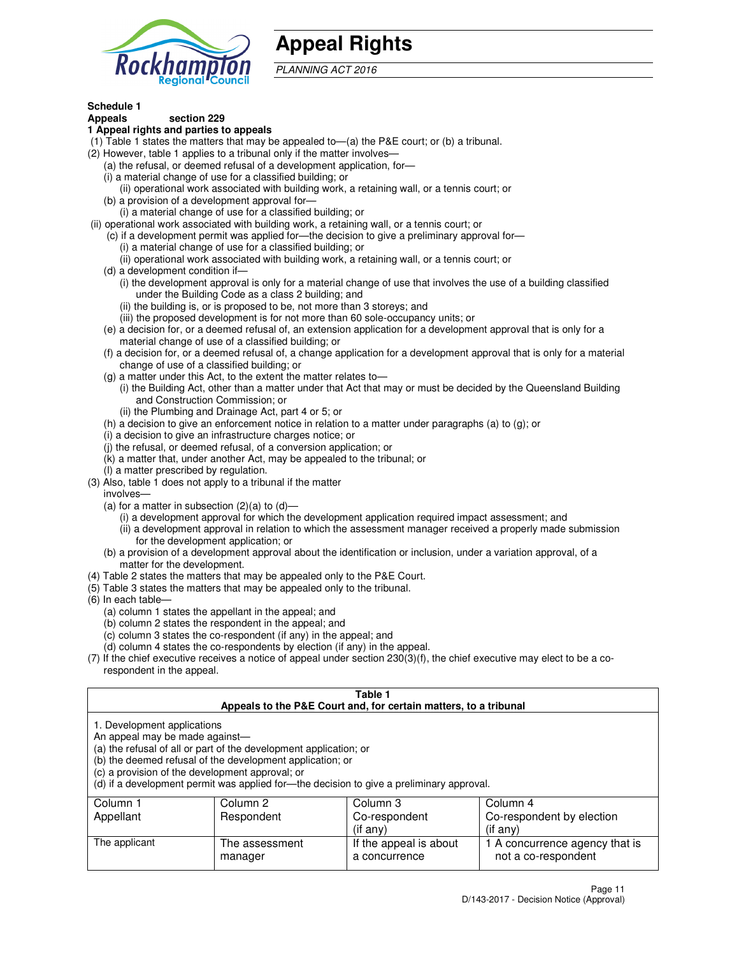

## **Appeal Rights**

PLANNING ACT 2016

## **Schedule 1**

## **Appeals section 229**

- **1 Appeal rights and parties to appeals**
- (1) Table 1 states the matters that may be appealed to—(a) the P&E court; or (b) a tribunal.
- (2) However, table 1 applies to a tribunal only if the matter involves—
	- (a) the refusal, or deemed refusal of a development application, for—
	- (i) a material change of use for a classified building; or
	- (ii) operational work associated with building work, a retaining wall, or a tennis court; or
	- (b) a provision of a development approval for—
	- (i) a material change of use for a classified building; or
- (ii) operational work associated with building work, a retaining wall, or a tennis court; or
	- (c) if a development permit was applied for—the decision to give a preliminary approval for—
		- (i) a material change of use for a classified building; or
		- (ii) operational work associated with building work, a retaining wall, or a tennis court; or
	- (d) a development condition if—
		- (i) the development approval is only for a material change of use that involves the use of a building classified under the Building Code as a class 2 building; and
		- (ii) the building is, or is proposed to be, not more than 3 storeys; and
		- (iii) the proposed development is for not more than 60 sole-occupancy units; or
	- (e) a decision for, or a deemed refusal of, an extension application for a development approval that is only for a material change of use of a classified building; or
	- (f) a decision for, or a deemed refusal of, a change application for a development approval that is only for a material change of use of a classified building; or
	- (g) a matter under this Act, to the extent the matter relates to—
		- (i) the Building Act, other than a matter under that Act that may or must be decided by the Queensland Building and Construction Commission; or
		- (ii) the Plumbing and Drainage Act, part 4 or 5; or
	- (h) a decision to give an enforcement notice in relation to a matter under paragraphs (a) to (g); or
	- (i) a decision to give an infrastructure charges notice; or
	- (j) the refusal, or deemed refusal, of a conversion application; or
	- (k) a matter that, under another Act, may be appealed to the tribunal; or
	- (l) a matter prescribed by regulation.
- (3) Also, table 1 does not apply to a tribunal if the matter
	- involves—
	- (a) for a matter in subsection  $(2)(a)$  to  $(d)$ 
		- (i) a development approval for which the development application required impact assessment; and
		- (ii) a development approval in relation to which the assessment manager received a properly made submission for the development application; or
	- (b) a provision of a development approval about the identification or inclusion, under a variation approval, of a matter for the development.
- (4) Table 2 states the matters that may be appealed only to the P&E Court.
- (5) Table 3 states the matters that may be appealed only to the tribunal.
- (6) In each table—
	- (a) column 1 states the appellant in the appeal; and
	- (b) column 2 states the respondent in the appeal; and
	- (c) column 3 states the co-respondent (if any) in the appeal; and
	- (d) column 4 states the co-respondents by election (if any) in the appeal.
- (7) If the chief executive receives a notice of appeal under section 230(3)(f), the chief executive may elect to be a corespondent in the appeal.

| Table 1<br>Appeals to the P&E Court and, for certain matters, to a tribunal                                                                                                                                                                                                                                                                    |                |                        |                                |  |
|------------------------------------------------------------------------------------------------------------------------------------------------------------------------------------------------------------------------------------------------------------------------------------------------------------------------------------------------|----------------|------------------------|--------------------------------|--|
| 1. Development applications<br>An appeal may be made against-<br>(a) the refusal of all or part of the development application; or<br>(b) the deemed refusal of the development application; or<br>(c) a provision of the development approval; or<br>(d) if a development permit was applied for-the decision to give a preliminary approval. |                |                        |                                |  |
| Column 3<br>Column 2<br>Column 4<br>Column 1                                                                                                                                                                                                                                                                                                   |                |                        |                                |  |
| Appellant                                                                                                                                                                                                                                                                                                                                      | Respondent     | Co-respondent          | Co-respondent by election      |  |
| $(if$ any)<br>$(if$ any)                                                                                                                                                                                                                                                                                                                       |                |                        |                                |  |
| The applicant                                                                                                                                                                                                                                                                                                                                  | The assessment | If the appeal is about | 1 A concurrence agency that is |  |
|                                                                                                                                                                                                                                                                                                                                                | manager        | a concurrence          | not a co-respondent            |  |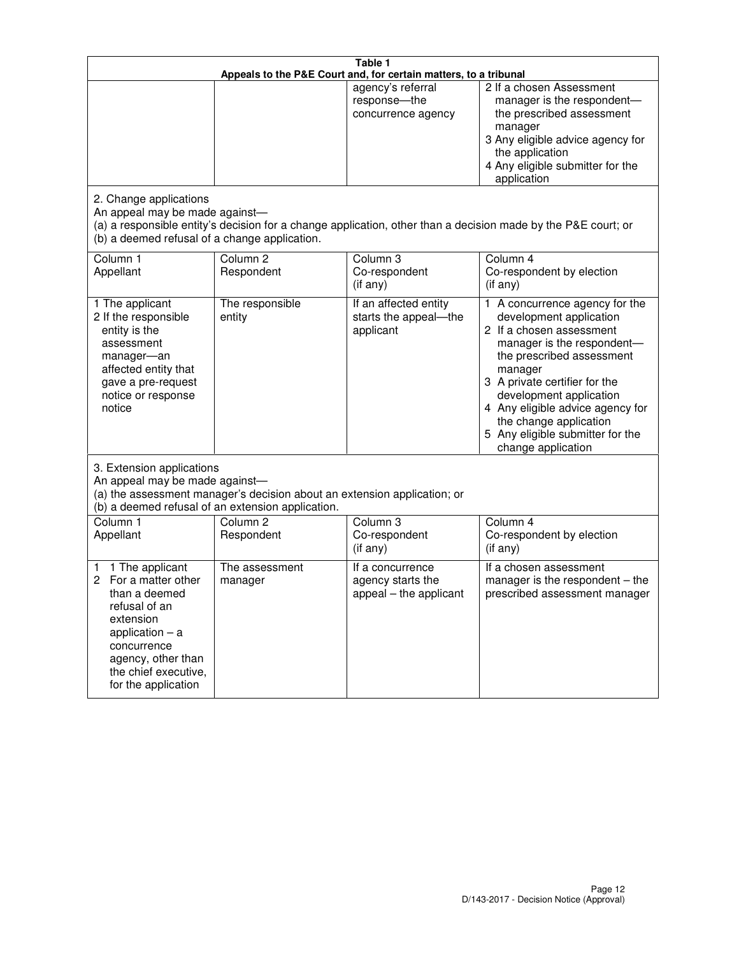|                                                                                                                                                                                                         | Table 1<br>Appeals to the P&E Court and, for certain matters, to a tribunal |                                                                 |                                                                                                                                                                                                                                                                                                                                                 |  |  |
|---------------------------------------------------------------------------------------------------------------------------------------------------------------------------------------------------------|-----------------------------------------------------------------------------|-----------------------------------------------------------------|-------------------------------------------------------------------------------------------------------------------------------------------------------------------------------------------------------------------------------------------------------------------------------------------------------------------------------------------------|--|--|
|                                                                                                                                                                                                         |                                                                             | agency's referral<br>response-the<br>concurrence agency         | 2 If a chosen Assessment<br>manager is the respondent-<br>the prescribed assessment<br>manager<br>3 Any eligible advice agency for<br>the application<br>4 Any eligible submitter for the<br>application                                                                                                                                        |  |  |
| 2. Change applications<br>An appeal may be made against-<br>(b) a deemed refusal of a change application.                                                                                               |                                                                             |                                                                 | (a) a responsible entity's decision for a change application, other than a decision made by the P&E court; or                                                                                                                                                                                                                                   |  |  |
| Column 1<br>Appellant                                                                                                                                                                                   | Column <sub>2</sub><br>Respondent                                           | Column <sub>3</sub><br>Co-respondent<br>(if any)                | Column 4<br>Co-respondent by election<br>(if any)                                                                                                                                                                                                                                                                                               |  |  |
| 1 The applicant<br>2 If the responsible<br>entity is the<br>assessment<br>manager-an<br>affected entity that<br>gave a pre-request<br>notice or response<br>notice                                      | The responsible<br>entity                                                   | If an affected entity<br>starts the appeal-the<br>applicant     | 1 A concurrence agency for the<br>development application<br>2 If a chosen assessment<br>manager is the respondent-<br>the prescribed assessment<br>manager<br>3 A private certifier for the<br>development application<br>4 Any eligible advice agency for<br>the change application<br>5 Any eligible submitter for the<br>change application |  |  |
| 3. Extension applications<br>An appeal may be made against-<br>(a) the assessment manager's decision about an extension application; or<br>(b) a deemed refusal of an extension application.            |                                                                             |                                                                 |                                                                                                                                                                                                                                                                                                                                                 |  |  |
| Column 1<br>Appellant                                                                                                                                                                                   | Column <sub>2</sub><br>Respondent                                           | Column 3<br>Co-respondent<br>(if any)                           | Column 4<br>Co-respondent by election<br>(if any)                                                                                                                                                                                                                                                                                               |  |  |
| 1 The applicant<br>1<br>For a matter other<br>2<br>than a deemed<br>refusal of an<br>extension<br>application $-$ a<br>concurrence<br>agency, other than<br>the chief executive,<br>for the application | The assessment<br>manager                                                   | If a concurrence<br>agency starts the<br>appeal - the applicant | If a chosen assessment<br>manager is the respondent – the<br>prescribed assessment manager                                                                                                                                                                                                                                                      |  |  |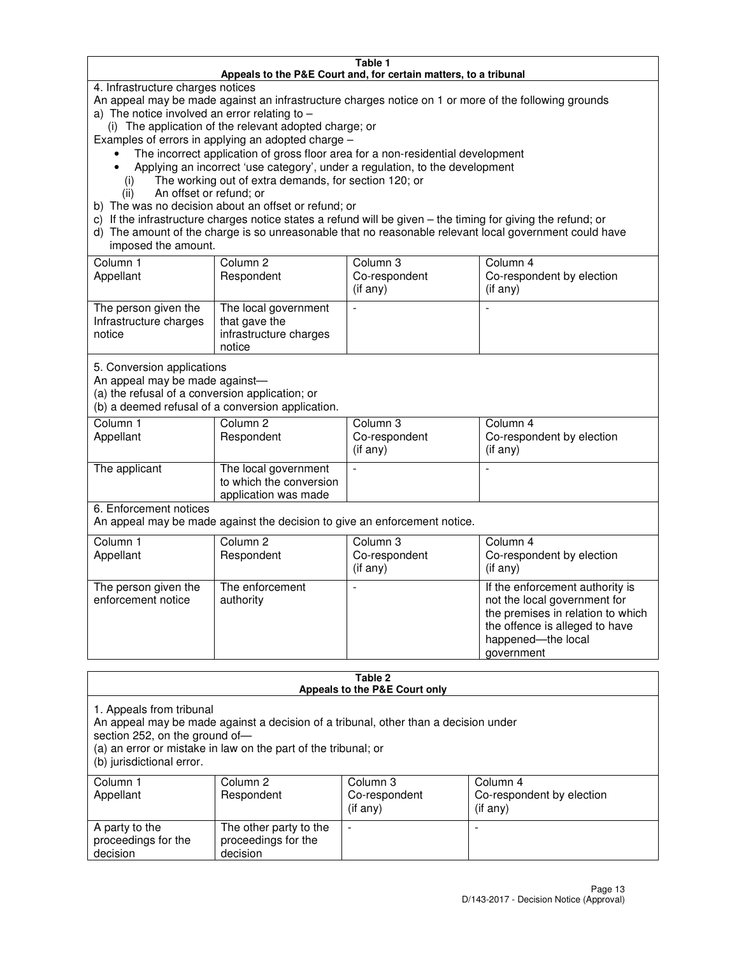#### **Table 1 Appeals to the P&E Court and, for certain matters, to a tribunal**

4. Infrastructure charges notices

An appeal may be made against an infrastructure charges notice on 1 or more of the following grounds

- a) The notice involved an error relating to
	- (i) The application of the relevant adopted charge; or
- Examples of errors in applying an adopted charge
	- The incorrect application of gross floor area for a non-residential development
	- Applying an incorrect 'use category', under a regulation, to the development
		- (i) The working out of extra demands, for section 120; or
		- (ii) An offset or refund; or
- b) The was no decision about an offset or refund; or
- c) If the infrastructure charges notice states a refund will be given the timing for giving the refund; or
- d) The amount of the charge is so unreasonable that no reasonable relevant local government could have imposed the amount.

| Column 1<br>Appellant                                    | Column 2<br>Respondent                                                    | Column 3<br>Co-respondent<br>$($ if any $)$ | Column 4<br>Co-respondent by election<br>$($ if any $)$ |
|----------------------------------------------------------|---------------------------------------------------------------------------|---------------------------------------------|---------------------------------------------------------|
| The person given the<br>Infrastructure charges<br>notice | The local government<br>that gave the<br>infrastructure charges<br>notice |                                             |                                                         |

5. Conversion applications

An appeal may be made against—

(a) the refusal of a conversion application; or

(b) a deemed refusal of a conversion application.

| Column 1<br>Appellant | Column 2<br>Respondent                                                  | Column 3<br>Co-respondent<br>$($ if any $)$ | Column 4<br>Co-respondent by election<br>$($ if any $)$ |  |
|-----------------------|-------------------------------------------------------------------------|---------------------------------------------|---------------------------------------------------------|--|
| The applicant         | The local government<br>to which the conversion<br>application was made |                                             |                                                         |  |

6. Enforcement notices

An appeal may be made against the decision to give an enforcement notice.

| Column 1<br>Appellant                      | Column 2<br>Respondent       | Column 3<br>Co-respondent<br>$($ if any $)$ | Column 4<br>Co-respondent by election<br>(if any)                                                                                                                          |
|--------------------------------------------|------------------------------|---------------------------------------------|----------------------------------------------------------------------------------------------------------------------------------------------------------------------------|
| The person given the<br>enforcement notice | The enforcement<br>authority |                                             | If the enforcement authority is<br>not the local government for<br>the premises in relation to which<br>the offence is alleged to have<br>happened-the local<br>government |

#### **Table 2 Appeals to the P&E Court only**

1. Appeals from tribunal

An appeal may be made against a decision of a tribunal, other than a decision under

section 252, on the ground of—

(a) an error or mistake in law on the part of the tribunal; or

(b) jurisdictional error.

| Column 1<br>Appellant                             | Column 2<br>Respondent                                    | Column 3<br>Co-respondent<br>(if any) | Column 4<br>Co-respondent by election<br>(if any) |
|---------------------------------------------------|-----------------------------------------------------------|---------------------------------------|---------------------------------------------------|
| A party to the<br>proceedings for the<br>decision | The other party to the<br>proceedings for the<br>decision | $\overline{\phantom{a}}$              |                                                   |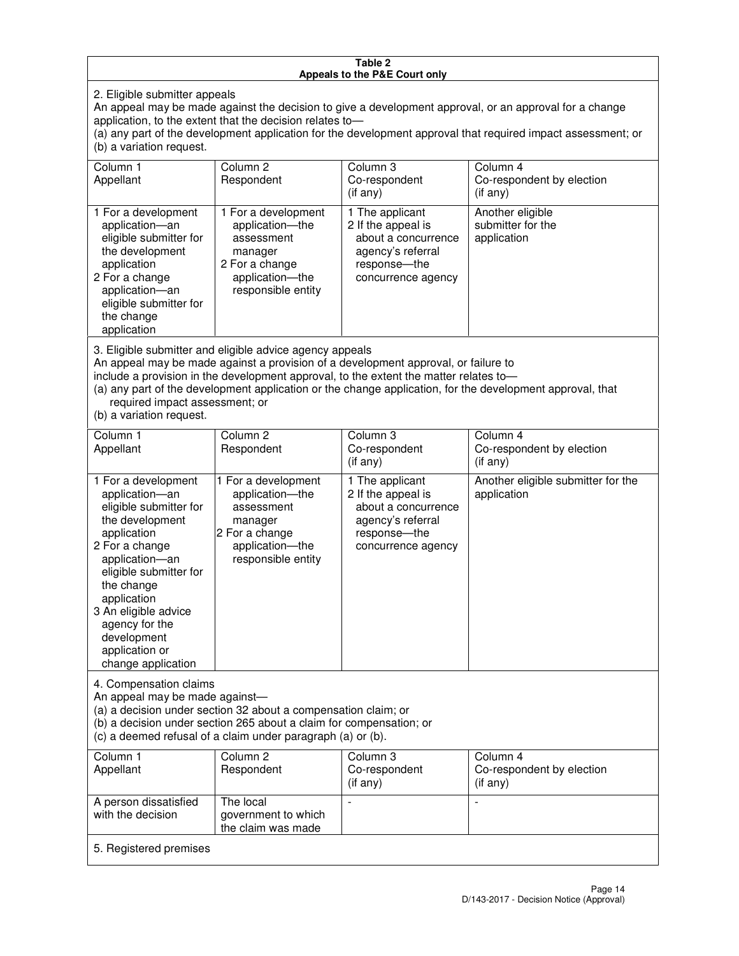#### **Table 2 Appeals to the P&E Court only**

2. Eligible submitter appeals

An appeal may be made against the decision to give a development approval, or an approval for a change application, to the extent that the decision relates to—

(a) any part of the development application for the development approval that required impact assessment; or (b) a variation request.

| Column 1<br>Appellant                                                                                                                                                                                                                                                                                                                                                                                              | Column 2<br>Respondent                                                                                                     | Column 3<br>Co-respondent<br>(i f any)                                                                                   | Column 4<br>Co-respondent by election<br>(i f any)   |
|--------------------------------------------------------------------------------------------------------------------------------------------------------------------------------------------------------------------------------------------------------------------------------------------------------------------------------------------------------------------------------------------------------------------|----------------------------------------------------------------------------------------------------------------------------|--------------------------------------------------------------------------------------------------------------------------|------------------------------------------------------|
| 1 For a development<br>application-an<br>eligible submitter for<br>the development<br>application<br>2 For a change<br>application-an<br>eligible submitter for<br>the change<br>application                                                                                                                                                                                                                       | 1 For a development<br>application-the<br>assessment<br>manager<br>2 For a change<br>application-the<br>responsible entity | 1 The applicant<br>2 If the appeal is<br>about a concurrence<br>agency's referral<br>response--the<br>concurrence agency | Another eligible<br>submitter for the<br>application |
| 3. Eligible submitter and eligible advice agency appeals<br>An appeal may be made against a provision of a development approval, or failure to<br>include a provision in the development approval, to the extent the matter relates to-<br>(a) any part of the development application or the change application, for the development approval, that<br>required impact assessment; or<br>(b) a variation request. |                                                                                                                            |                                                                                                                          |                                                      |
| Column 1                                                                                                                                                                                                                                                                                                                                                                                                           | Column <sub>2</sub>                                                                                                        | Column 3                                                                                                                 | Column 4                                             |
| Appellant                                                                                                                                                                                                                                                                                                                                                                                                          | Respondent                                                                                                                 | Co-respondent<br>(if any)                                                                                                | Co-respondent by election<br>(i f any)               |
| 1 For a development<br>application-an<br>eligible submitter for                                                                                                                                                                                                                                                                                                                                                    | 1 For a development<br>application-the<br>assessment                                                                       | 1 The applicant<br>2 If the appeal is<br>about a concurrence                                                             | Another eligible submitter for the<br>application    |

agency's referral response—the concurrence agency

change application 4. Compensation claims

the development application 2 For a change application—an eligible submitter for

the change application 3 An eligible advice agency for the development application or

An appeal may be made against—

(a) a decision under section 32 about a compensation claim; or

manager 2 For a change application—the responsible entity

(b) a decision under section 265 about a claim for compensation; or

(c) a deemed refusal of a claim under paragraph (a) or (b).

| Column 1<br>Appellant                      | Column 2<br>Respondent                                 | Column 3<br>Co-respondent<br>(if any) | Column 4<br>Co-respondent by election<br>$($ if any $)$ |
|--------------------------------------------|--------------------------------------------------------|---------------------------------------|---------------------------------------------------------|
| A person dissatisfied<br>with the decision | The local<br>government to which<br>the claim was made | -                                     |                                                         |
| 5. Registered premises                     |                                                        |                                       |                                                         |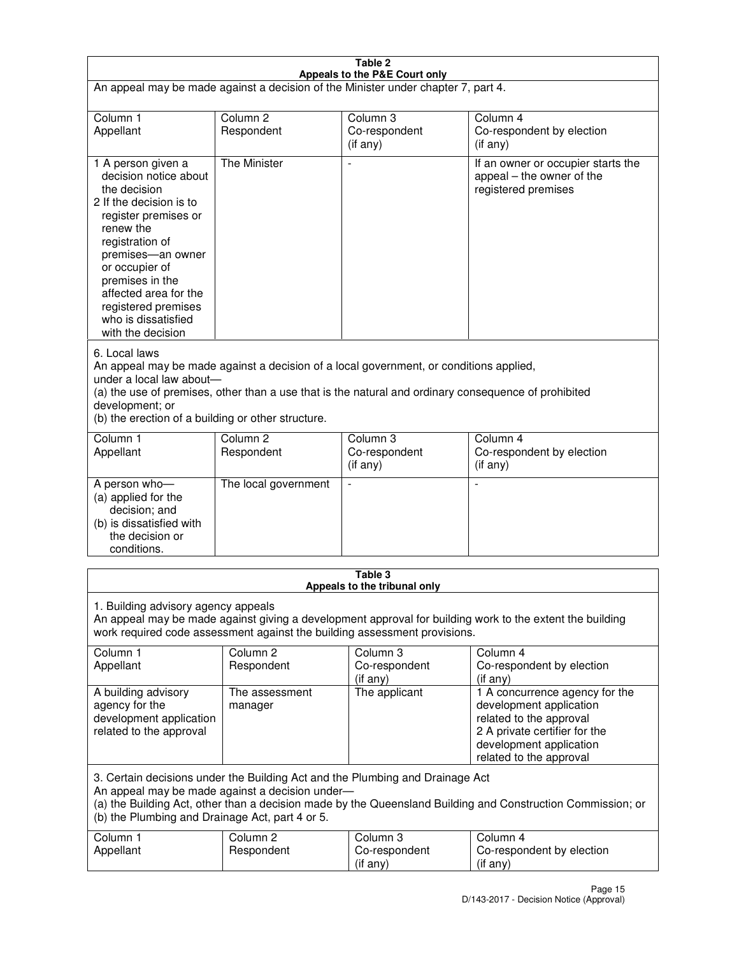| Table 2<br>Appeals to the P&E Court only                                                                                                                                                                                                                                                             |                                                                                                                                                                                                                                                                                  |                                                  |                                                                                                                                                                             |  |  |
|------------------------------------------------------------------------------------------------------------------------------------------------------------------------------------------------------------------------------------------------------------------------------------------------------|----------------------------------------------------------------------------------------------------------------------------------------------------------------------------------------------------------------------------------------------------------------------------------|--------------------------------------------------|-----------------------------------------------------------------------------------------------------------------------------------------------------------------------------|--|--|
| An appeal may be made against a decision of the Minister under chapter 7, part 4.                                                                                                                                                                                                                    |                                                                                                                                                                                                                                                                                  |                                                  |                                                                                                                                                                             |  |  |
| Column 1<br>Appellant                                                                                                                                                                                                                                                                                | Column <sub>2</sub><br>Respondent                                                                                                                                                                                                                                                | Column <sub>3</sub><br>Co-respondent<br>(if any) | Column <sub>4</sub><br>Co-respondent by election<br>(if any)                                                                                                                |  |  |
| 1 A person given a<br>decision notice about<br>the decision<br>2 If the decision is to<br>register premises or<br>renew the<br>registration of<br>premises-an owner<br>or occupier of<br>premises in the<br>affected area for the<br>registered premises<br>who is dissatisfied<br>with the decision | <b>The Minister</b>                                                                                                                                                                                                                                                              |                                                  | If an owner or occupier starts the<br>appeal – the owner of the<br>registered premises                                                                                      |  |  |
| 6. Local laws<br>development; or                                                                                                                                                                                                                                                                     | An appeal may be made against a decision of a local government, or conditions applied,<br>under a local law about-<br>(a) the use of premises, other than a use that is the natural and ordinary consequence of prohibited<br>(b) the erection of a building or other structure. |                                                  |                                                                                                                                                                             |  |  |
| Column 1<br>Appellant                                                                                                                                                                                                                                                                                | Column <sub>2</sub><br>Respondent                                                                                                                                                                                                                                                | Column 3<br>Co-respondent<br>(if any)            | Column $\overline{4}$<br>Co-respondent by election<br>(if any)                                                                                                              |  |  |
| A person who-<br>(a) applied for the<br>decision; and<br>(b) is dissatisfied with<br>the decision or<br>conditions.                                                                                                                                                                                  | The local government                                                                                                                                                                                                                                                             |                                                  |                                                                                                                                                                             |  |  |
| Table 3<br>Appeals to the tribunal only                                                                                                                                                                                                                                                              |                                                                                                                                                                                                                                                                                  |                                                  |                                                                                                                                                                             |  |  |
| 1. Building advisory agency appeals<br>An appeal may be made against giving a development approval for building work to the extent the building<br>work required code assessment against the building assessment provisions.                                                                         |                                                                                                                                                                                                                                                                                  |                                                  |                                                                                                                                                                             |  |  |
| Column 1<br>Appellant                                                                                                                                                                                                                                                                                | Column <sub>2</sub><br>Respondent                                                                                                                                                                                                                                                | Column 3<br>Co-respondent<br>(if any)            | Column 4<br>Co-respondent by election<br>(if any)                                                                                                                           |  |  |
| A building advisory<br>agency for the<br>development application<br>related to the approval                                                                                                                                                                                                          | The assessment<br>manager                                                                                                                                                                                                                                                        | The applicant                                    | 1 A concurrence agency for the<br>development application<br>related to the approval<br>2 A private certifier for the<br>development application<br>related to the approval |  |  |
| 3. Certain decisions under the Building Act and the Plumbing and Drainage Act<br>An appeal may be made against a decision under-<br>(a) the Building Act, other than a decision made by the Queensland Building and Construction Commission; or<br>(b) the Plumbing and Drainage Act, part 4 or 5.   |                                                                                                                                                                                                                                                                                  |                                                  |                                                                                                                                                                             |  |  |
| Column 1<br>Appellant                                                                                                                                                                                                                                                                                | Column <sub>2</sub><br>Respondent                                                                                                                                                                                                                                                | Column 3<br>Co-respondent<br>(if any)            | Column 4<br>Co-respondent by election<br>(if any)                                                                                                                           |  |  |